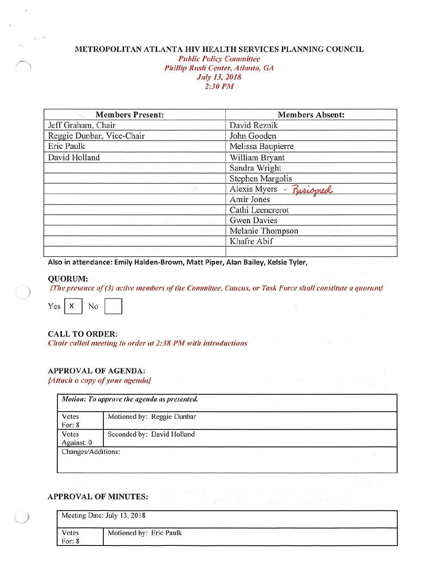## **METROPOLITAN ATLANTA HIV HEALTH SERVICES PLANNING COUNCIL**

*Public Policy Committee Phillip Rush Center, Atlanta, GA July 13, 2018 2:30 PM* 

| <b>Members Present:</b>         | <b>Members Absent:</b>  |
|---------------------------------|-------------------------|
| Jeff Graham, Chair              | David Reznik            |
| Reggie Dunbar, Vice-Chair       | John Gooden             |
| Eric Paulk<br><b>CONTRACTOR</b> | Melissa Baupierre       |
| David Holland                   | William Bryant          |
|                                 | Sandra Wright           |
|                                 | Stephen Margolis        |
|                                 | Alexis Myers - Risioned |
|                                 | Amir Jones              |
|                                 | Cathi Leencrerot        |
|                                 | <b>Gwen Davies</b>      |
|                                 | Melanie Thompson        |
|                                 | Khafre Abif             |
|                                 |                         |

**Also in attendance: Emily Halden-Brown, Matt Piper, Alan Bailey, Kelsie Tyler,** 

#### **QUORUM:**

)

*{The presence of (3)* active *members of the Committee,* Caucus, *or Task Force shall constitute a quorum}* 



**CALL TO ORDER:** 

*Chair called meeting to order at 2:38 PM* with *introductions* 

### **APPROVAL OF AGENDA:**

*{Attach a copy of your agenda}* 

| Votes<br>For: $8$   | Motioned by: Reggie Dunbar |  |
|---------------------|----------------------------|--|
| Votes<br>Against: 0 | Seconded by: David Holland |  |

#### **APPROVAL OF MINUTES:**

|                   | Meeting Date: July 13, 2018 |  |
|-------------------|-----------------------------|--|
| Votes<br>For: $8$ | Motioned by: Eric Paulk     |  |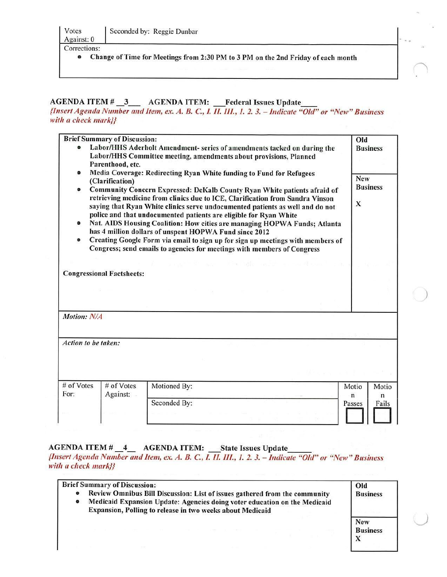• Change of Time for Meetings from 2:30 PM *to* 3 PM on the 2nd Friday of each month

## AGENDA ITEM # \_3\_\_ AGENDA ITEM: Federal Issues Update

*{Insert Agenda Number mu/* Item, *ex. A. B.* C., *l II. Ill., I. 2. 3. -* Indicate *"Old" or "New" Business*  with *a* check mark}}

|                                    | <b>Brief Summary of Discussion:</b> |                                                                                                                                                                                                                                                                                                                                                                                                                                                                                                                                                                                                                                                                                                                                      | Old                                          |
|------------------------------------|-------------------------------------|--------------------------------------------------------------------------------------------------------------------------------------------------------------------------------------------------------------------------------------------------------------------------------------------------------------------------------------------------------------------------------------------------------------------------------------------------------------------------------------------------------------------------------------------------------------------------------------------------------------------------------------------------------------------------------------------------------------------------------------|----------------------------------------------|
|                                    | Parenthood, etc.                    | Labor/HHS Aderholt Amendment- series of amendments tacked on during the<br>Labor/HHS Committee meeting, amendments about provisions, Planned                                                                                                                                                                                                                                                                                                                                                                                                                                                                                                                                                                                         | <b>Business</b>                              |
| ۰<br>۰<br>٠<br>$\bullet$           | (Clarification)                     | Media Coverage: Redirecting Ryan White funding to Fund for Refugees<br>Community Concern Expressed: DeKalb County Ryan White patients afraid of<br>retrieving medicine from clinics due to ICE, Clarification from Sandra Vinson<br>saying that Ryan White clinics serve undocumented patients as well and do not<br>police and that undocumented patients are eligible for Ryan White<br>Nat. AIDS Housing Coalition: How cities are managing HOPWA Funds; Atlanta<br>has 4 million dollars of unspent HOPWA Fund since 2012<br>Creating Google Form via email to sign up for sign up meetings with members of<br>Congress; send emails to agencies for meetings with members of Congress<br>age. The lifts recipit entrantificance | <b>New</b><br><b>Business</b><br>$\mathbf x$ |
|                                    | <b>Congressional Factsheets:</b>    |                                                                                                                                                                                                                                                                                                                                                                                                                                                                                                                                                                                                                                                                                                                                      |                                              |
|                                    |                                     |                                                                                                                                                                                                                                                                                                                                                                                                                                                                                                                                                                                                                                                                                                                                      |                                              |
| Motion: N/A<br>Action to be taken: |                                     |                                                                                                                                                                                                                                                                                                                                                                                                                                                                                                                                                                                                                                                                                                                                      |                                              |
|                                    |                                     |                                                                                                                                                                                                                                                                                                                                                                                                                                                                                                                                                                                                                                                                                                                                      |                                              |
| # of Votes<br>For:                 | # of Votes<br>Against:              | Motioned By:                                                                                                                                                                                                                                                                                                                                                                                                                                                                                                                                                                                                                                                                                                                         | Motio<br>Motio<br>$\mathbf n$<br>n           |

*)* 

AGENDA ITEM # \_4\_ AGENDA ITEM: State Issues Update

 $\mathbf{I}$ 

*{Insert Agenda Number mu/ item, ex. A. B.* C., *1. 11. III., 1. 2. 3. - indicate "Old" or "New" Business*  with *a* check mark}}

|           | <b>Brief Summary of Discussion:</b>                                                                                                                                                                                  | Old                           |
|-----------|----------------------------------------------------------------------------------------------------------------------------------------------------------------------------------------------------------------------|-------------------------------|
| $\bullet$ | Review Omnibus Bill Discussion: List of issues gathered from the community<br>Medicaid Expansion Update: Agencies doing voter education on the Medicaid<br>Expansion, Polling to release in two weeks about Medicaid | <b>Business</b>               |
|           |                                                                                                                                                                                                                      | <b>New</b><br><b>Business</b> |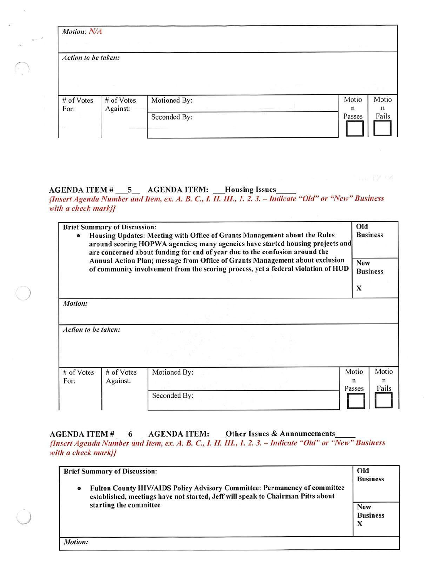| Motion: N/A         |                        |              |      | <b>British Market</b> |            |
|---------------------|------------------------|--------------|------|-----------------------|------------|
| Action to be taken: |                        |              |      |                       |            |
|                     |                        |              |      |                       |            |
| # of Votes<br>For:  | # of Votes<br>Against: | Motioned By: | -- 1 | Motio<br>n            | Motio<br>n |

# AGENDA ITEM # \_\_5\_ AGENDA ITEM: \_\_Housing Issues

*)* 

*{Insert Agenda Number mu! Item, ex. A. B.* C., *L lJ. Ill., J. 2. 3. -* Indicate *"Old" or "New"* Business *with a check mark}}* 

| $\bullet$            | <b>Brief Summary of Discussion:</b> | Housing Updates: Meeting with Office of Grants Management about the Rules<br>around scoring HOPWA agencies; many agencies have started housing projects and<br>are concerned about funding for end of year due to the confusion around the | Old<br><b>Business</b>      |                     |
|----------------------|-------------------------------------|--------------------------------------------------------------------------------------------------------------------------------------------------------------------------------------------------------------------------------------------|-----------------------------|---------------------|
|                      |                                     | Annual Action Plan; message from Office of Grants Management about exclusion<br>of community involvement from the scoring process, yet a federal violation of HUD                                                                          | New<br><b>Business</b><br>X |                     |
| Motion:              |                                     |                                                                                                                                                                                                                                            |                             |                     |
| Action to be taken:  |                                     |                                                                                                                                                                                                                                            |                             |                     |
| $#$ of Votes<br>For: | $#$ of Votes<br>Against:            | Motioned By:                                                                                                                                                                                                                               | Motio<br>n<br>Passes        | Motio<br>n<br>Fails |
|                      |                                     | Seconded By:                                                                                                                                                                                                                               |                             |                     |

 $AGENDA$  ITEM  $\#$  \_\_6\_ AGENDA ITEM: \_\_\_Other Issues & Announcements

*{Insert Agenda Number and Item, ex. A. B.* C., *I. II.* Ill., *1. 2. 3. - Indicate "Old" or "New"* Business *with a check mark}}* 

| Fulton County HIV/AIDS Policy Advisory Committee: Permanency of committee<br>$\bullet$<br>established, meetings have not started, Jeff will speak to Chairman Pitts about<br>starting the committee |                               |
|-----------------------------------------------------------------------------------------------------------------------------------------------------------------------------------------------------|-------------------------------|
|                                                                                                                                                                                                     |                               |
|                                                                                                                                                                                                     | <b>New</b><br><b>Business</b> |
|                                                                                                                                                                                                     | $\bf{x}$                      |